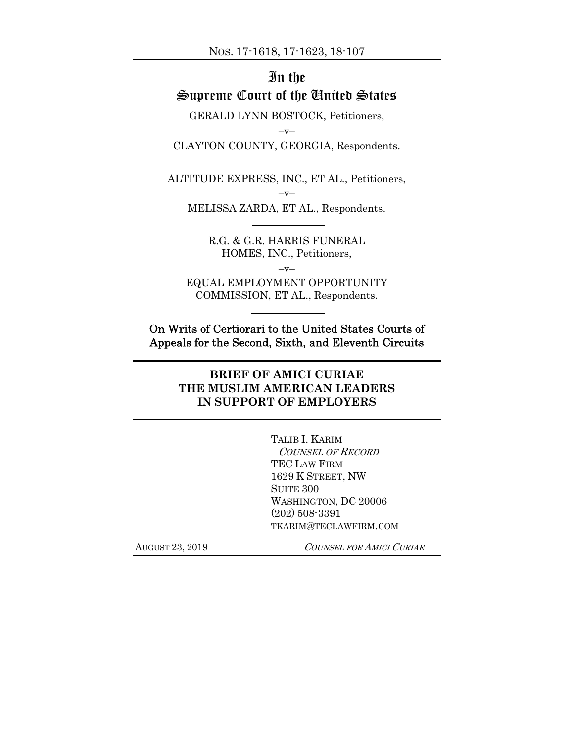# In the Supreme Court of the United States

GERALD LYNN BOSTOCK, Petitioners,

 $-v-$ 

CLAYTON COUNTY, GEORGIA, Respondents.

ALTITUDE EXPRESS, INC., ET AL., Petitioners,  $-v-$ 

MELISSA ZARDA, ET AL., Respondents.

R.G. & G.R. HARRIS FUNERAL HOMES, INC., Petitioners,

 $-v-$ EQUAL EMPLOYMENT OPPORTUNITY COMMISSION, ET AL., Respondents.

On Writs of Certiorari to the United States Courts of Appeals for the Second, Sixth, and Eleventh Circuits

## **BRIEF OF AMICI CURIAE THE MUSLIM AMERICAN LEADERS IN SUPPORT OF EMPLOYERS**

TALIB I. KARIM COUNSEL OF RECORD TEC LAW FIRM 1629 K STREET, NW SUITE 300 WASHINGTON, DC 20006 (202) 508-3391 TKARIM@TECLAWFIRM.COM

AUGUST 23, 2019 COUNSEL FOR AMICI CURIAE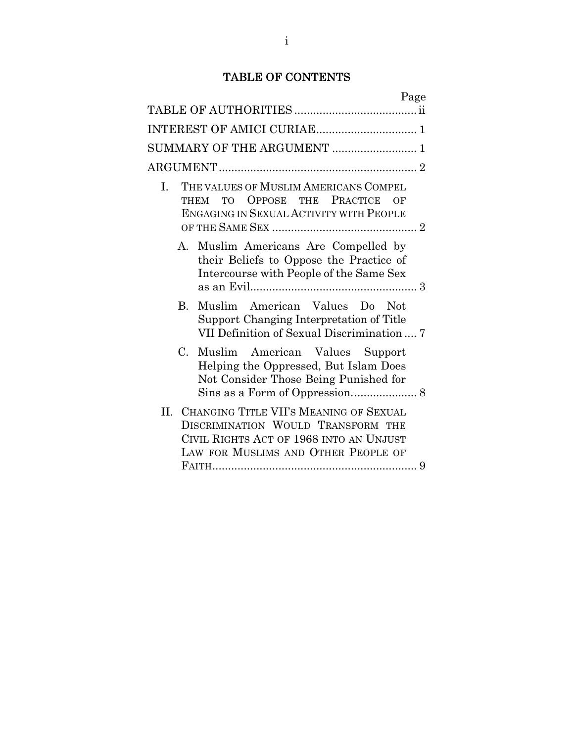## TABLE OF CONTENTS

| Page                                                                                                                                                                  |
|-----------------------------------------------------------------------------------------------------------------------------------------------------------------------|
|                                                                                                                                                                       |
|                                                                                                                                                                       |
| SUMMARY OF THE ARGUMENT  1                                                                                                                                            |
|                                                                                                                                                                       |
| THE VALUES OF MUSLIM AMERICANS COMPEL<br>$\mathbf{I}$ .<br>THEM TO OPPOSE THE PRACTICE<br>OF<br>ENGAGING IN SEXUAL ACTIVITY WITH PEOPLE                               |
| Muslim Americans Are Compelled by<br>$\mathbf{A}$<br>their Beliefs to Oppose the Practice of<br>Intercourse with People of the Same Sex                               |
| Muslim American Values Do Not<br>B.<br>Support Changing Interpretation of Title<br>VII Definition of Sexual Discrimination  7                                         |
| $C_{\cdot}$<br>Muslim American Values Support<br>Helping the Oppressed, But Islam Does<br>Not Consider Those Being Punished for                                       |
| CHANGING TITLE VII'S MEANING OF SEXUAL<br>II.<br>DISCRIMINATION WOULD TRANSFORM THE<br>CIVIL RIGHTS ACT OF 1968 INTO AN UNJUST<br>LAW FOR MUSLIMS AND OTHER PEOPLE OF |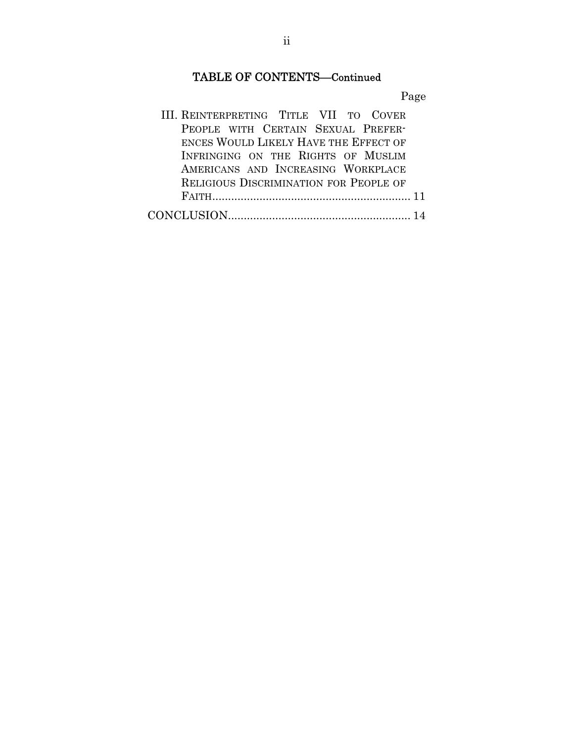# TABLE OF CONTENTS—Continued

Page

| III. REINTERPRETING TITLE VII TO COVER        |
|-----------------------------------------------|
| PEOPLE WITH CERTAIN SEXUAL PREFER-            |
| ENCES WOULD LIKELY HAVE THE EFFECT OF         |
| INFRINGING ON THE RIGHTS OF MUSLIM            |
| AMERICANS AND INCREASING WORKPLACE            |
| <b>RELIGIOUS DISCRIMINATION FOR PEOPLE OF</b> |
|                                               |
|                                               |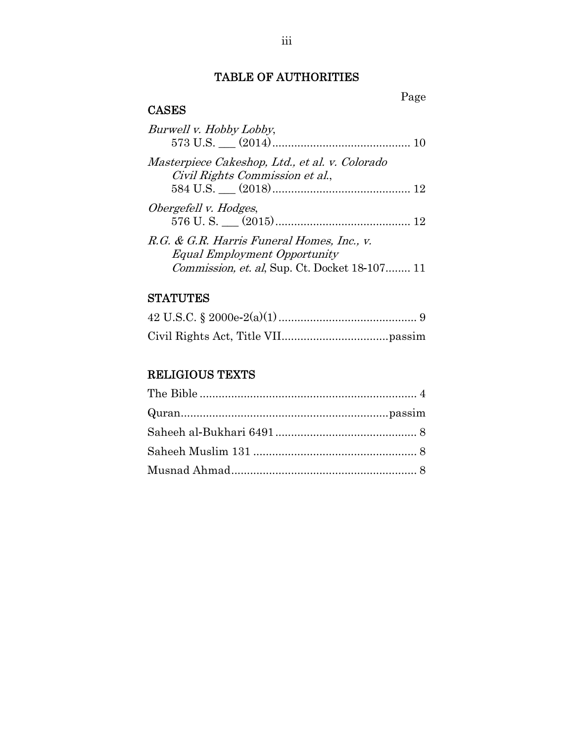## TABLE OF AUTHORITIES

Page

## CASES

| Burwell v. Hobby Lobby,                                                           |  |
|-----------------------------------------------------------------------------------|--|
| Masterpiece Cakeshop, Ltd., et al. v. Colorado<br>Civil Rights Commission et al., |  |
|                                                                                   |  |
| Obergefell v. Hodges,                                                             |  |
|                                                                                   |  |
| R.G. & G.R. Harris Funeral Homes, Inc., v.                                        |  |
| <b>Equal Employment Opportunity</b>                                               |  |
| <i>Commission, et. al, Sup. Ct. Docket 18-107 11</i>                              |  |

## **STATUTES**

## RELIGIOUS TEXTS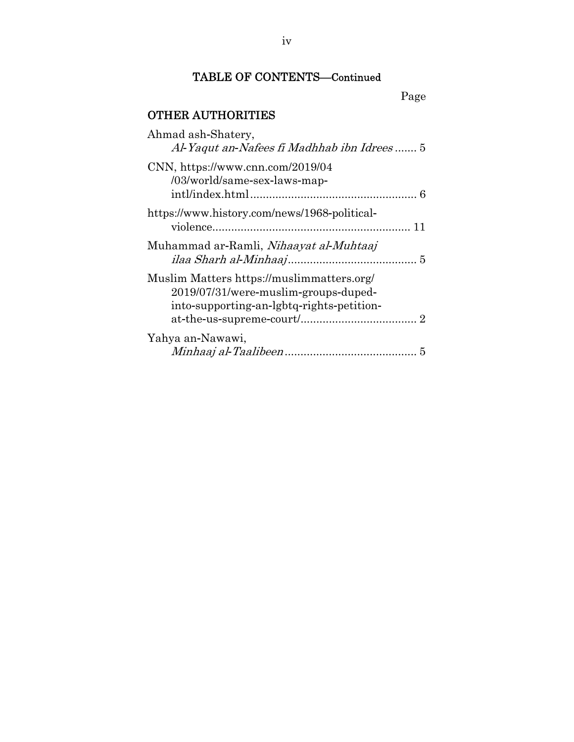# TABLE OF CONTENTS—Continued

Page

# OTHER AUTHORITIES

| Ahmad ash-Shatery,<br>Al-Yaqut an-Nafees fi Madhhab ibn Idrees 5                                                               |
|--------------------------------------------------------------------------------------------------------------------------------|
| $CNN, \frac{https://www.cnn.com/2019/04}{https://www.cnn.com/2019/04}$<br>/03/world/same-sex-laws-map-                         |
| https://www.history.com/news/1968-political-                                                                                   |
| Muhammad ar-Ramli, Nihaayat al-Muhtaaj                                                                                         |
| Muslim Matters https://muslimmatters.org/<br>2019/07/31/were-muslim-groups-duped-<br>into-supporting-an-lgbtq-rights-petition- |
| Yahya an-Nawawi,                                                                                                               |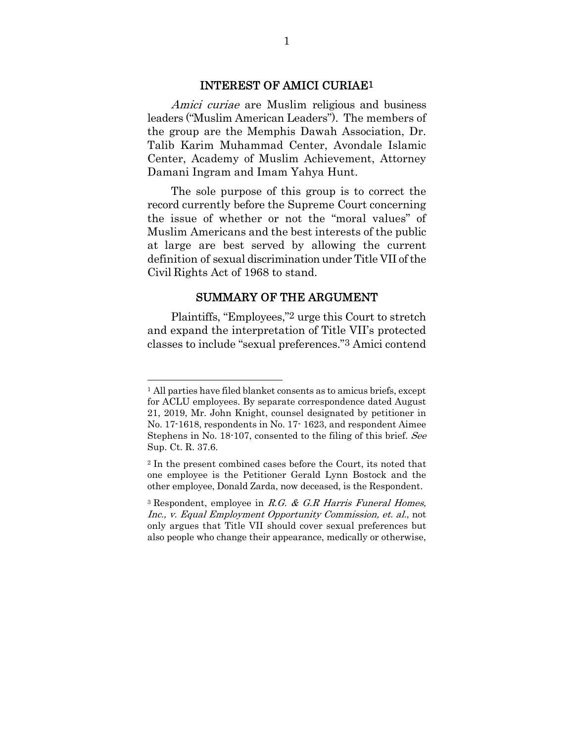#### INTEREST OF AMICI CURIAE1

Amici curiae are Muslim religious and business leaders ("Muslim American Leaders"). The members of the group are the Memphis Dawah Association, Dr. Talib Karim Muhammad Center, Avondale Islamic Center, Academy of Muslim Achievement, Attorney Damani Ingram and Imam Yahya Hunt.

The sole purpose of this group is to correct the record currently before the Supreme Court concerning the issue of whether or not the "moral values" of Muslim Americans and the best interests of the public at large are best served by allowing the current definition of sexual discrimination under Title VII of the Civil Rights Act of 1968 to stand.

#### SUMMARY OF THE ARGUMENT

Plaintiffs, "Employees,"2 urge this Court to stretch and expand the interpretation of Title VII's protected classes to include "sexual preferences."3 Amici contend

<sup>&</sup>lt;sup>1</sup> All parties have filed blanket consents as to amicus briefs, except for ACLU employees. By separate correspondence dated August 21, 2019, Mr. John Knight, counsel designated by petitioner in No. 17-1618, respondents in No. 17- 1623, and respondent Aimee Stephens in No. 18-107, consented to the filing of this brief. See Sup. Ct. R. 37.6.

<sup>2</sup> In the present combined cases before the Court, its noted that one employee is the Petitioner Gerald Lynn Bostock and the other employee, Donald Zarda, now deceased, is the Respondent.

<sup>&</sup>lt;sup>3</sup> Respondent, employee in R.G. & G.R Harris Funeral Homes, Inc., v. Equal Employment Opportunity Commission, et. al., not only argues that Title VII should cover sexual preferences but also people who change their appearance, medically or otherwise,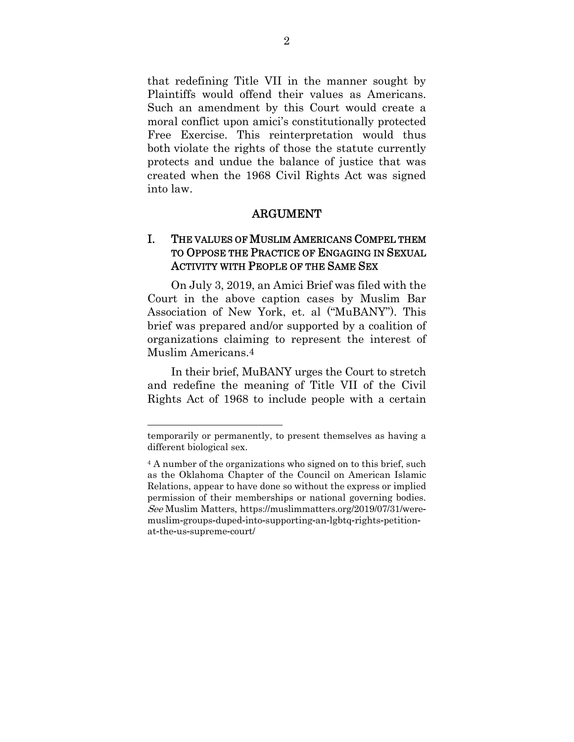that redefining Title VII in the manner sought by Plaintiffs would offend their values as Americans. Such an amendment by this Court would create a moral conflict upon amici's constitutionally protected Free Exercise. This reinterpretation would thus both violate the rights of those the statute currently protects and undue the balance of justice that was created when the 1968 Civil Rights Act was signed into law.

#### ARGUMENT

## I. THE VALUES OF MUSLIM AMERICANS COMPEL THEM TO OPPOSE THE PRACTICE OF ENGAGING IN SEXUAL ACTIVITY WITH PEOPLE OF THE SAME SEX

On July 3, 2019, an Amici Brief was filed with the Court in the above caption cases by Muslim Bar Association of New York, et. al ("MuBANY"). This brief was prepared and/or supported by a coalition of organizations claiming to represent the interest of Muslim Americans.4

In their brief, MuBANY urges the Court to stretch and redefine the meaning of Title VII of the Civil Rights Act of 1968 to include people with a certain

temporarily or permanently, to present themselves as having a different biological sex.

<sup>4</sup> A number of the organizations who signed on to this brief, such as the Oklahoma Chapter of the Council on American Islamic Relations, appear to have done so without the express or implied permission of their memberships or national governing bodies. See Muslim Matters, https://muslimmatters.org/2019/07/31/weremuslim-groups-duped-into-supporting-an-lgbtq-rights-petitionat-the-us-supreme-court/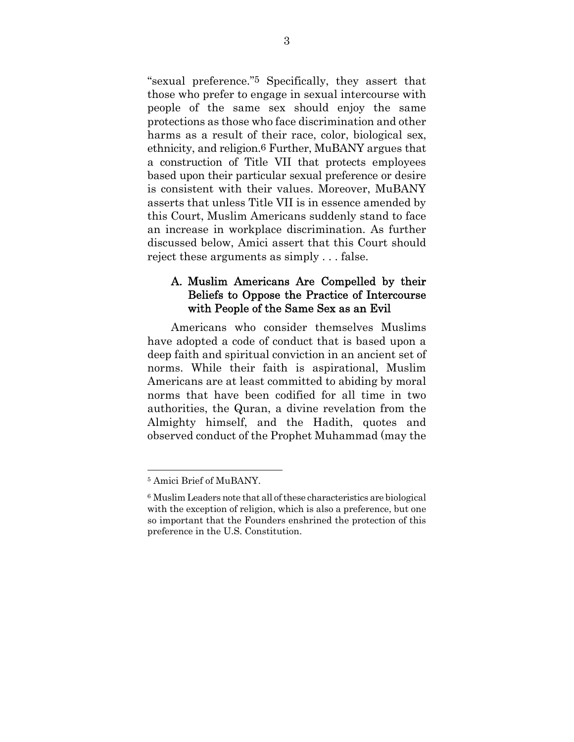"sexual preference."5 Specifically, they assert that those who prefer to engage in sexual intercourse with people of the same sex should enjoy the same protections as those who face discrimination and other harms as a result of their race, color, biological sex, ethnicity, and religion.6 Further, MuBANY argues that a construction of Title VII that protects employees based upon their particular sexual preference or desire is consistent with their values. Moreover, MuBANY asserts that unless Title VII is in essence amended by this Court, Muslim Americans suddenly stand to face an increase in workplace discrimination. As further discussed below, Amici assert that this Court should reject these arguments as simply . . . false.

## A. Muslim Americans Are Compelled by their Beliefs to Oppose the Practice of Intercourse with People of the Same Sex as an Evil

Americans who consider themselves Muslims have adopted a code of conduct that is based upon a deep faith and spiritual conviction in an ancient set of norms. While their faith is aspirational, Muslim Americans are at least committed to abiding by moral norms that have been codified for all time in two authorities, the Quran, a divine revelation from the Almighty himself, and the Hadith, quotes and observed conduct of the Prophet Muhammad (may the

<sup>5</sup> Amici Brief of MuBANY.

<sup>6</sup> Muslim Leaders note that all of these characteristics are biological with the exception of religion, which is also a preference, but one so important that the Founders enshrined the protection of this preference in the U.S. Constitution.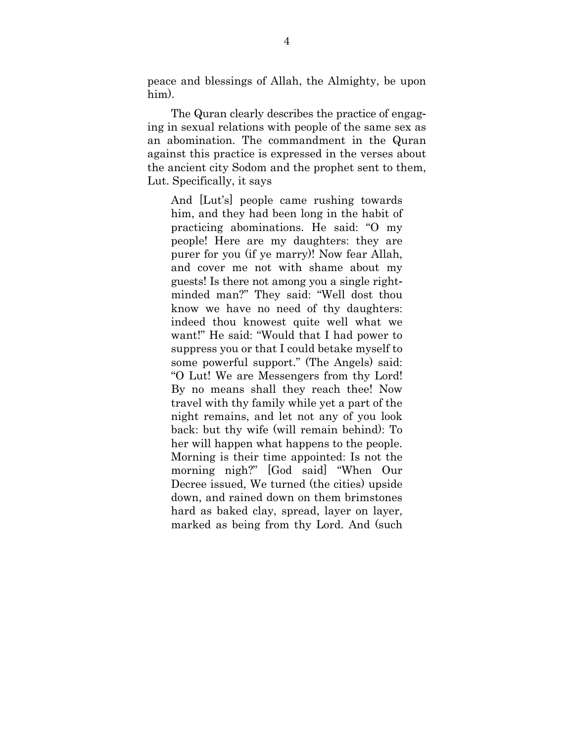peace and blessings of Allah, the Almighty, be upon him).

The Quran clearly describes the practice of engaging in sexual relations with people of the same sex as an abomination. The commandment in the Quran against this practice is expressed in the verses about the ancient city Sodom and the prophet sent to them, Lut. Specifically, it says

And [Lut's] people came rushing towards him, and they had been long in the habit of practicing abominations. He said: "O my people! Here are my daughters: they are purer for you (if ye marry)! Now fear Allah, and cover me not with shame about my guests! Is there not among you a single rightminded man?" They said: "Well dost thou know we have no need of thy daughters: indeed thou knowest quite well what we want!" He said: "Would that I had power to suppress you or that I could betake myself to some powerful support." (The Angels) said: "O Lut! We are Messengers from thy Lord! By no means shall they reach thee! Now travel with thy family while yet a part of the night remains, and let not any of you look back: but thy wife (will remain behind): To her will happen what happens to the people. Morning is their time appointed: Is not the morning nigh?" [God said] "When Our Decree issued, We turned (the cities) upside down, and rained down on them brimstones hard as baked clay, spread, layer on layer, marked as being from thy Lord. And (such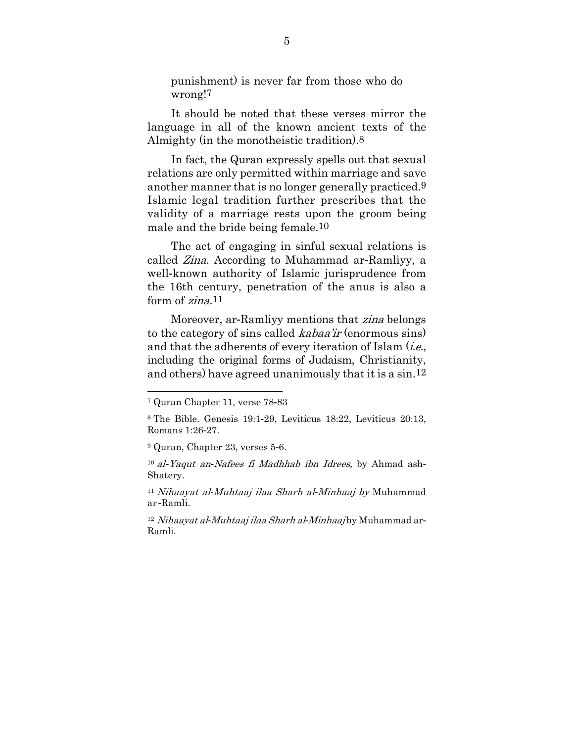punishment) is never far from those who do wrong!7

It should be noted that these verses mirror the language in all of the known ancient texts of the Almighty (in the monotheistic tradition).8

In fact, the Quran expressly spells out that sexual relations are only permitted within marriage and save another manner that is no longer generally practiced.9 Islamic legal tradition further prescribes that the validity of a marriage rests upon the groom being male and the bride being female.10

The act of engaging in sinful sexual relations is called Zina. According to Muhammad ar-Ramliyy, a well-known authority of Islamic jurisprudence from the 16th century, penetration of the anus is also a form of *zina*.<sup>11</sup>

Moreover, ar-Ramliyy mentions that *zina* belongs to the category of sins called *kabaa'ir* (enormous sins) and that the adherents of every iteration of Islam  $(i.e.,$ including the original forms of Judaism, Christianity, and others) have agreed unanimously that it is a sin.12

<sup>7</sup> Quran Chapter 11, verse 78-83

<sup>8</sup> The Bible. Genesis 19:1-29, Leviticus 18:22, Leviticus 20:13, Romans 1:26-27.

<sup>9</sup> Quran, Chapter 23, verses 5-6.

<sup>10</sup> al*-*Yaqut an*-*Nafees fi Madhhab ibn Idrees, by Ahmad ash-Shatery.

<sup>11</sup> Nihaayat al*-*Muhtaaj ilaa Sharh al*-*Minhaaj by Muhammad ar -Ramli.

<sup>12</sup> Nihaayat al*-*Muhtaaj ilaa Sharh al*-*Minhaaj by Muhammad ar-Ramli.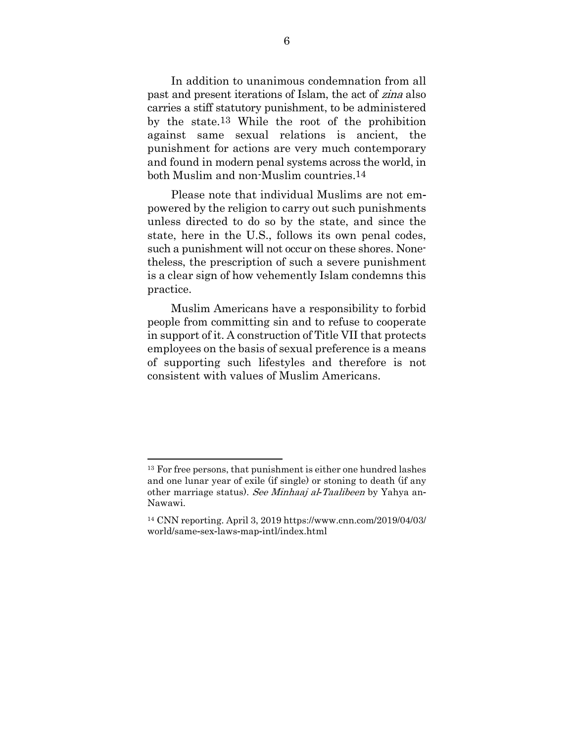In addition to unanimous condemnation from all past and present iterations of Islam, the act of zina also carries a stiff statutory punishment, to be administered by the state.13 While the root of the prohibition against same sexual relations is ancient, the punishment for actions are very much contemporary and found in modern penal systems across the world, in both Muslim and non-Muslim countries.14

Please note that individual Muslims are not empowered by the religion to carry out such punishments unless directed to do so by the state, and since the state, here in the U.S., follows its own penal codes, such a punishment will not occur on these shores. Nonetheless, the prescription of such a severe punishment is a clear sign of how vehemently Islam condemns this practice.

Muslim Americans have a responsibility to forbid people from committing sin and to refuse to cooperate in support of it. A construction of Title VII that protects employees on the basis of sexual preference is a means of supporting such lifestyles and therefore is not consistent with values of Muslim Americans.

<sup>13</sup> For free persons, that punishment is either one hundred lashes and one lunar year of exile (if single) or stoning to death (if any other marriage status). See Minhaaj al*-*Taalibeen by Yahya an-Nawawi.

<sup>14</sup> CNN reporting. April 3, 2019 https://www.cnn.com/2019/04/03/ world/same-sex-laws-map-intl/index.html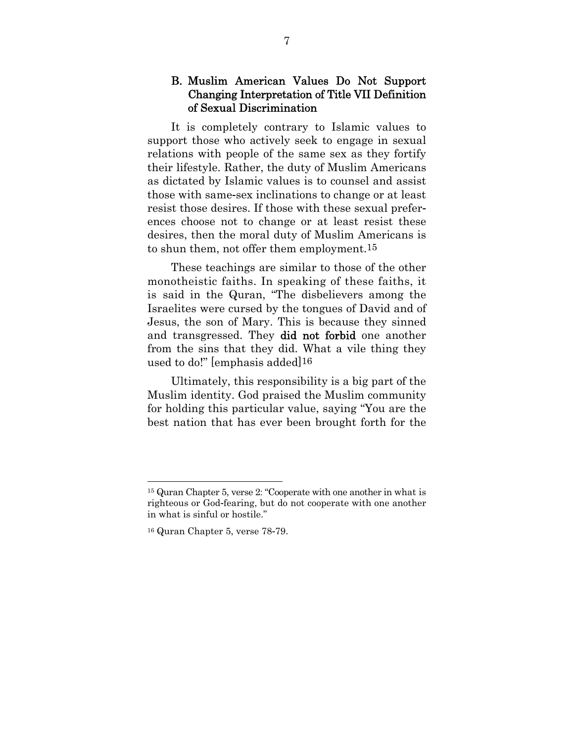### B. Muslim American Values Do Not Support Changing Interpretation of Title VII Definition of Sexual Discrimination

It is completely contrary to Islamic values to support those who actively seek to engage in sexual relations with people of the same sex as they fortify their lifestyle. Rather, the duty of Muslim Americans as dictated by Islamic values is to counsel and assist those with same-sex inclinations to change or at least resist those desires. If those with these sexual preferences choose not to change or at least resist these desires, then the moral duty of Muslim Americans is to shun them, not offer them employment.15

These teachings are similar to those of the other monotheistic faiths. In speaking of these faiths, it is said in the Quran, "The disbelievers among the Israelites were cursed by the tongues of David and of Jesus, the son of Mary. This is because they sinned and transgressed. They did not forbid one another from the sins that they did. What a vile thing they used to do!" [emphasis added]16

Ultimately, this responsibility is a big part of the Muslim identity. God praised the Muslim community for holding this particular value, saying "You are the best nation that has ever been brought forth for the

<sup>15</sup> Quran Chapter 5, verse 2: "Cooperate with one another in what is righteous or God-fearing, but do not cooperate with one another in what is sinful or hostile."

<sup>16</sup> Quran Chapter 5, verse 78-79.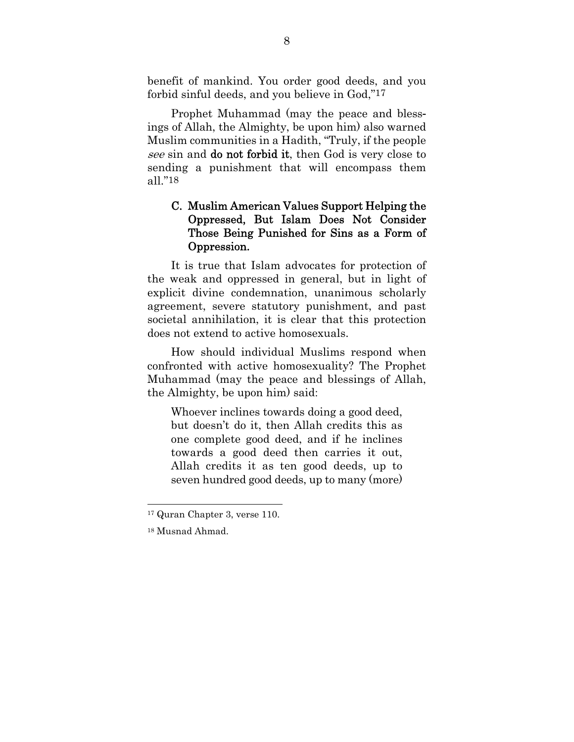benefit of mankind. You order good deeds, and you forbid sinful deeds, and you believe in God,"17

Prophet Muhammad (may the peace and blessings of Allah, the Almighty, be upon him) also warned Muslim communities in a Hadith, "Truly, if the people see sin and **do not forbid it**, then God is very close to sending a punishment that will encompass them all."18

## C. Muslim American Values Support Helping the Oppressed, But Islam Does Not Consider Those Being Punished for Sins as a Form of Oppression.

It is true that Islam advocates for protection of the weak and oppressed in general, but in light of explicit divine condemnation, unanimous scholarly agreement, severe statutory punishment, and past societal annihilation, it is clear that this protection does not extend to active homosexuals.

How should individual Muslims respond when confronted with active homosexuality? The Prophet Muhammad (may the peace and blessings of Allah, the Almighty, be upon him) said:

Whoever inclines towards doing a good deed, but doesn't do it, then Allah credits this as one complete good deed, and if he inclines towards a good deed then carries it out, Allah credits it as ten good deeds, up to seven hundred good deeds, up to many (more)

<sup>17</sup> Quran Chapter 3, verse 110.

<sup>18</sup> Musnad Ahmad.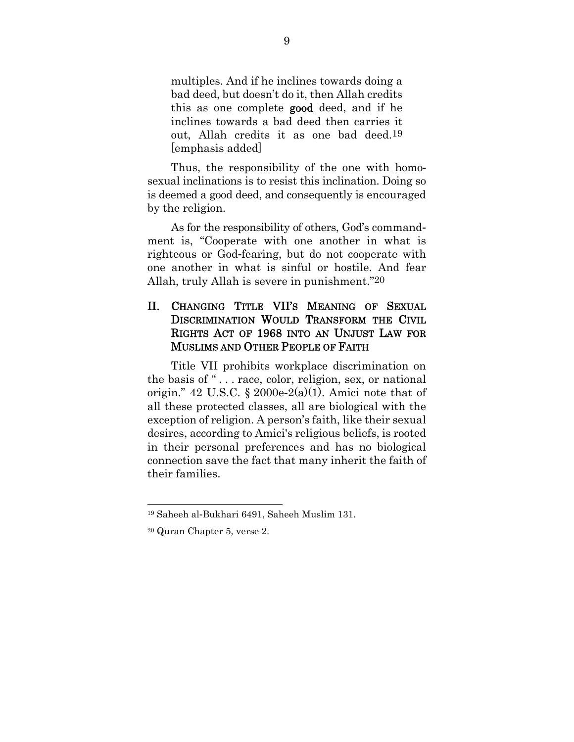multiples. And if he inclines towards doing a bad deed, but doesn't do it, then Allah credits this as one complete good deed, and if he inclines towards a bad deed then carries it out, Allah credits it as one bad deed.19 [emphasis added]

Thus, the responsibility of the one with homosexual inclinations is to resist this inclination. Doing so is deemed a good deed, and consequently is encouraged by the religion.

As for the responsibility of others, God's commandment is, "Cooperate with one another in what is righteous or God-fearing, but do not cooperate with one another in what is sinful or hostile. And fear Allah, truly Allah is severe in punishment."20

## II. CHANGING TITLE VII'S MEANING OF SEXUAL DISCRIMINATION WOULD TRANSFORM THE CIVIL RIGHTS ACT OF 1968 INTO AN UNJUST LAW FOR MUSLIMS AND OTHER PEOPLE OF FAITH

Title VII prohibits workplace discrimination on the basis of " . . . race, color, religion, sex, or national origin." 42 U.S.C. § 2000e-2(a)(1). Amici note that of all these protected classes, all are biological with the exception of religion. A person's faith, like their sexual desires, according to Amici's religious beliefs, is rooted in their personal preferences and has no biological connection save the fact that many inherit the faith of their families.

<sup>19</sup> Saheeh al-Bukhari 6491, Saheeh Muslim 131.

<sup>20</sup> Quran Chapter 5, verse 2.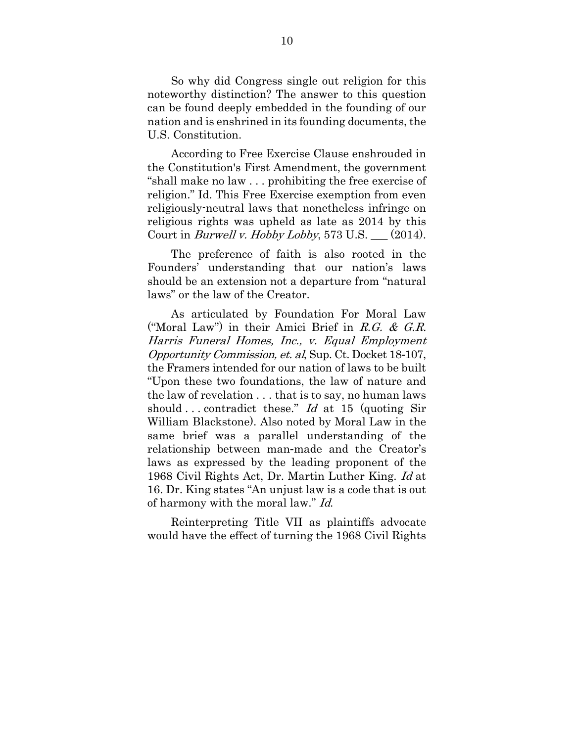So why did Congress single out religion for this noteworthy distinction? The answer to this question can be found deeply embedded in the founding of our nation and is enshrined in its founding documents, the U.S. Constitution.

According to Free Exercise Clause enshrouded in the Constitution's First Amendment, the government "shall make no law . . . prohibiting the free exercise of religion." Id. This Free Exercise exemption from even religiously-neutral laws that nonetheless infringe on religious rights was upheld as late as 2014 by this Court in *Burwell v. Hobby Lobby*, 573 U.S.  $\_\_$  (2014).

The preference of faith is also rooted in the Founders' understanding that our nation's laws should be an extension not a departure from "natural laws" or the law of the Creator.

As articulated by Foundation For Moral Law ("Moral Law") in their Amici Brief in R.G. & G.R. Harris Funeral Homes, Inc., v. Equal Employment Opportunity Commission, et. al, Sup. Ct. Docket 18-107, the Framers intended for our nation of laws to be built "Upon these two foundations, the law of nature and the law of revelation . . . that is to say, no human laws should ... contradict these." Id at 15 (quoting Sir William Blackstone). Also noted by Moral Law in the same brief was a parallel understanding of the relationship between man-made and the Creator's laws as expressed by the leading proponent of the 1968 Civil Rights Act, Dr. Martin Luther King. Id at 16. Dr. King states "An unjust law is a code that is out of harmony with the moral law." Id.

Reinterpreting Title VII as plaintiffs advocate would have the effect of turning the 1968 Civil Rights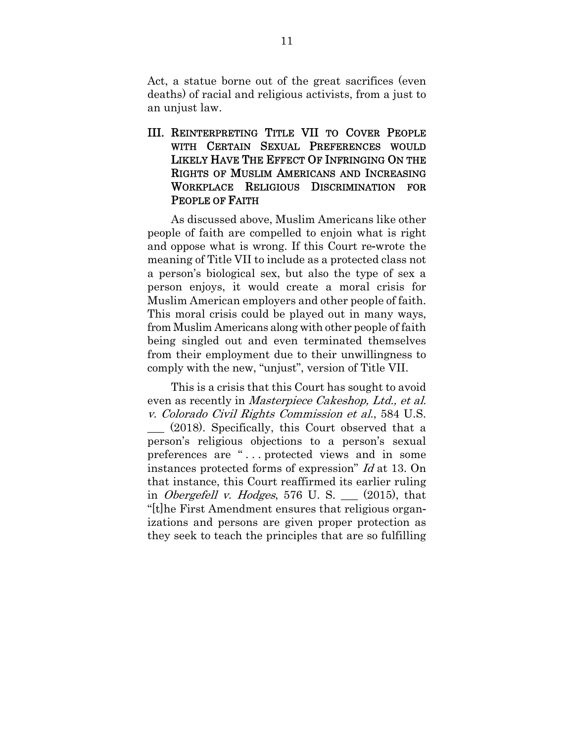Act, a statue borne out of the great sacrifices (even deaths) of racial and religious activists, from a just to an unjust law.

III. REINTERPRETING TITLE VII TO COVER PEOPLE WITH CERTAIN SEXUAL PREFERENCES WOULD LIKELY HAVE THE EFFECT OF INFRINGING ON THE RIGHTS OF MUSLIM AMERICANS AND INCREASING WORKPLACE RELIGIOUS DISCRIMINATION FOR PEOPLE OF FAITH

As discussed above, Muslim Americans like other people of faith are compelled to enjoin what is right and oppose what is wrong. If this Court re-wrote the meaning of Title VII to include as a protected class not a person's biological sex, but also the type of sex a person enjoys, it would create a moral crisis for Muslim American employers and other people of faith. This moral crisis could be played out in many ways, from Muslim Americans along with other people of faith being singled out and even terminated themselves from their employment due to their unwillingness to comply with the new, "unjust", version of Title VII.

This is a crisis that this Court has sought to avoid even as recently in *Masterpiece Cakeshop*, *Ltd.*, *et al.* v. Colorado Civil Rights Commission et al., 584 U.S. \_\_\_ (2018). Specifically, this Court observed that a person's religious objections to a person's sexual preferences are "... protected views and in some instances protected forms of expression" Id at 13. On that instance, this Court reaffirmed its earlier ruling in *Obergefell v. Hodges*, 576 U. S.  $\_\_$  (2015), that "[t]he First Amendment ensures that religious organizations and persons are given proper protection as they seek to teach the principles that are so fulfilling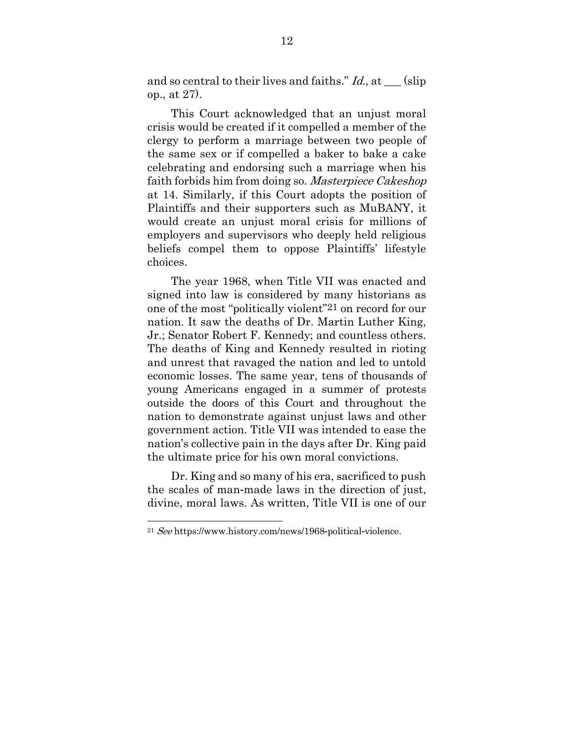and so central to their lives and faiths."  $Id$ , at  $\_\_$  (slip) op., at 27).

This Court acknowledged that an unjust moral crisis would be created if it compelled a member of the clergy to perform a marriage between two people of the same sex or if compelled a baker to bake a cake celebrating and endorsing such a marriage when his faith forbids him from doing so. Masterpiece Cakeshop at 14. Similarly, if this Court adopts the position of Plaintiffs and their supporters such as MuBANY, it would create an unjust moral crisis for millions of employers and supervisors who deeply held religious beliefs compel them to oppose Plaintiffs' lifestyle choices.

The year 1968, when Title VII was enacted and signed into law is considered by many historians as one of the most "politically violent"21 on record for our nation. It saw the deaths of Dr. Martin Luther King, Jr.; Senator Robert F. Kennedy; and countless others. The deaths of King and Kennedy resulted in rioting and unrest that ravaged the nation and led to untold economic losses. The same year, tens of thousands of young Americans engaged in a summer of protests outside the doors of this Court and throughout the nation to demonstrate against unjust laws and other government action. Title VII was intended to ease the nation's collective pain in the days after Dr. King paid the ultimate price for his own moral convictions.

Dr. King and so many of his era, sacrificed to push the scales of man-made laws in the direction of just, divine, moral laws. As written, Title VII is one of our

<sup>21</sup> See https://www.history.com/news/1968-political-violence.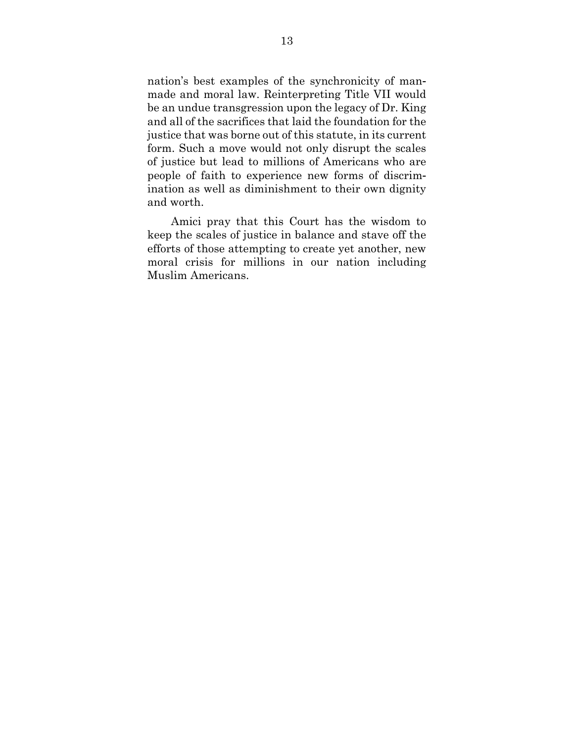nation's best examples of the synchronicity of manmade and moral law. Reinterpreting Title VII would be an undue transgression upon the legacy of Dr. King and all of the sacrifices that laid the foundation for the justice that was borne out of this statute, in its current form. Such a move would not only disrupt the scales of justice but lead to millions of Americans who are people of faith to experience new forms of discrimination as well as diminishment to their own dignity and worth.

Amici pray that this Court has the wisdom to keep the scales of justice in balance and stave off the efforts of those attempting to create yet another, new moral crisis for millions in our nation including Muslim Americans.